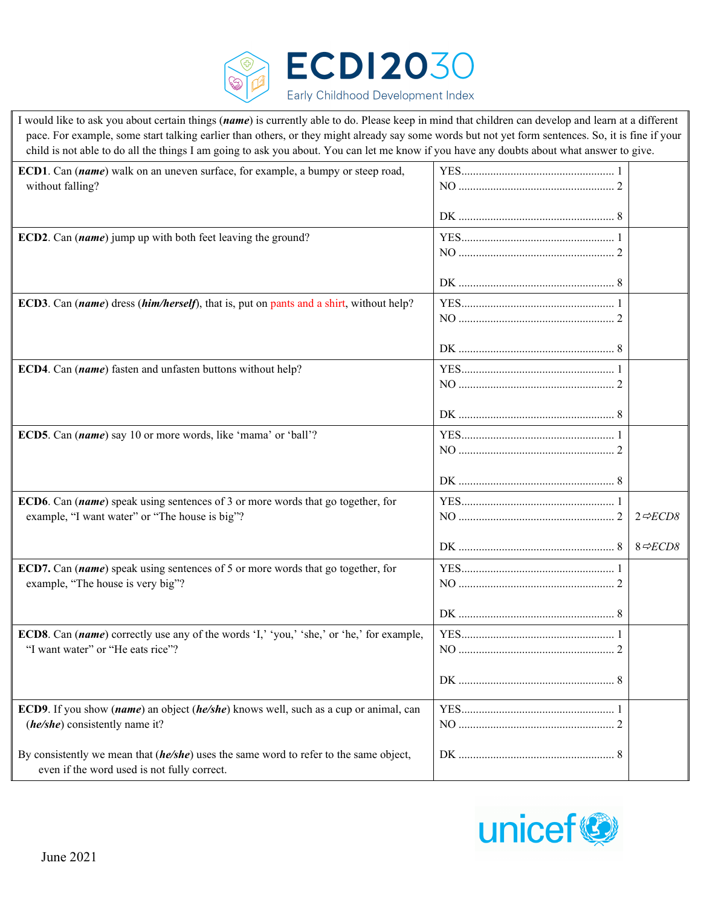

I would like to ask you about certain things (*name*) is currently able to do. Please keep in mind that children can develop and learn at a different pace. For example, some start talking earlier than others, or they might already say some words but not yet form sentences. So, it is fine if your child is not able to do all the things I am going to ask you about. You can let me know if you have any doubts about what answer to give.

| ECD1. Can (name) walk on an uneven surface, for example, a bumpy or steep road,<br>without falling?                                  |                          |
|--------------------------------------------------------------------------------------------------------------------------------------|--------------------------|
|                                                                                                                                      |                          |
| ECD2. Can (name) jump up with both feet leaving the ground?                                                                          |                          |
|                                                                                                                                      |                          |
|                                                                                                                                      |                          |
| <b>ECD3</b> . Can (name) dress (him/herself), that is, put on pants and a shirt, without help?                                       |                          |
|                                                                                                                                      |                          |
|                                                                                                                                      |                          |
| ECD4. Can (name) fasten and unfasten buttons without help?                                                                           |                          |
|                                                                                                                                      |                          |
|                                                                                                                                      |                          |
| ECD5. Can (name) say 10 or more words, like 'mama' or 'ball'?                                                                        |                          |
|                                                                                                                                      |                          |
|                                                                                                                                      |                          |
| ECD6. Can (name) speak using sentences of 3 or more words that go together, for<br>example, "I want water" or "The house is big"?    | $2 \Leftrightarrow ECD8$ |
|                                                                                                                                      |                          |
|                                                                                                                                      | $8 \Leftrightarrow ECD8$ |
| ECD7. Can (name) speak using sentences of 5 or more words that go together, for                                                      |                          |
| example, "The house is very big"?                                                                                                    |                          |
|                                                                                                                                      |                          |
| ECD8. Can (name) correctly use any of the words 'I,' 'you,' 'she,' or 'he,' for example,                                             |                          |
| "I want water" or "He eats rice"?                                                                                                    |                          |
|                                                                                                                                      |                          |
| ECD9. If you show (name) an object (he/she) knows well, such as a cup or animal, can                                                 |                          |
| (he/she) consistently name it?                                                                                                       |                          |
| By consistently we mean that (he/she) uses the same word to refer to the same object,<br>even if the word used is not fully correct. |                          |

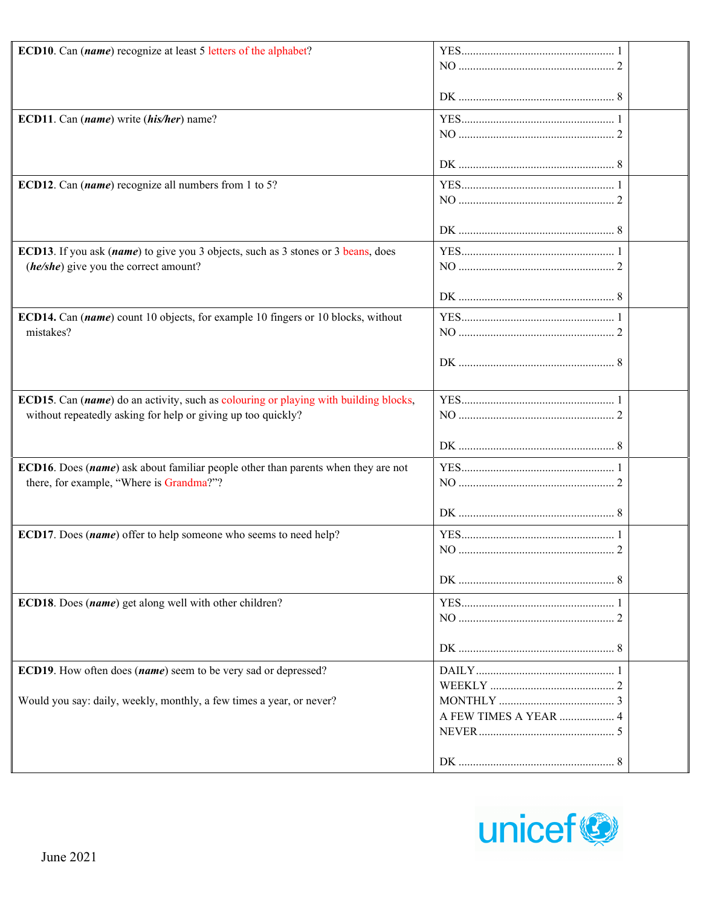| ECD10. Can (name) recognize at least 5 letters of the alphabet?                                                                                      |                       |  |
|------------------------------------------------------------------------------------------------------------------------------------------------------|-----------------------|--|
|                                                                                                                                                      |                       |  |
| ECD11. Can (name) write (his/her) name?                                                                                                              |                       |  |
|                                                                                                                                                      |                       |  |
| ECD12. Can ( $name$ ) recognize all numbers from 1 to 5?                                                                                             |                       |  |
|                                                                                                                                                      |                       |  |
| ECD13. If you ask (name) to give you 3 objects, such as 3 stones or 3 beans, does<br>(he/she) give you the correct amount?                           |                       |  |
|                                                                                                                                                      |                       |  |
| ECD14. Can (name) count 10 objects, for example 10 fingers or 10 blocks, without<br>mistakes?                                                        |                       |  |
|                                                                                                                                                      |                       |  |
| ECD15. Can (name) do an activity, such as colouring or playing with building blocks,<br>without repeatedly asking for help or giving up too quickly? |                       |  |
|                                                                                                                                                      |                       |  |
| ECD16. Does (name) ask about familiar people other than parents when they are not<br>there, for example, "Where is Grandma?"?                        |                       |  |
|                                                                                                                                                      |                       |  |
| ECD17. Does (name) offer to help someone who seems to need help?                                                                                     |                       |  |
|                                                                                                                                                      |                       |  |
| ECD18. Does (name) get along well with other children?                                                                                               |                       |  |
|                                                                                                                                                      |                       |  |
| ECD19. How often does (name) seem to be very sad or depressed?<br>Would you say: daily, weekly, monthly, a few times a year, or never?               |                       |  |
|                                                                                                                                                      | A FEW TIMES A YEAR  4 |  |
|                                                                                                                                                      |                       |  |